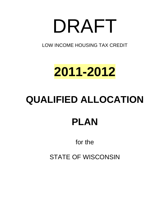# DRAFT

LOW INCOME HOUSING TAX CREDIT

# **2011-2012**

# **QUALIFIED ALLOCATION**

# **PLAN**

# for the

# STATE OF WISCONSIN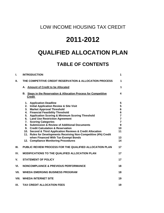## LOW INCOME HOUSING TAX CREDIT

## **2011-2012**

## **QUALIFIED ALLOCATION PLAN**

## **TABLE OF CONTENTS**

| I.               | <b>INTRODUCTION</b>                                                                                                                                                                                                                                                                                                                                                                                                                                                                                                                                                                                                                                         | $\mathbf 1$                                                                                                    |
|------------------|-------------------------------------------------------------------------------------------------------------------------------------------------------------------------------------------------------------------------------------------------------------------------------------------------------------------------------------------------------------------------------------------------------------------------------------------------------------------------------------------------------------------------------------------------------------------------------------------------------------------------------------------------------------|----------------------------------------------------------------------------------------------------------------|
| П.               | THE COMPETITIVE CREDIT RESERVATION & ALLOCATION PROCESS                                                                                                                                                                                                                                                                                                                                                                                                                                                                                                                                                                                                     | 1                                                                                                              |
|                  | <b>Amount of Credit to be Allocated</b><br>А.                                                                                                                                                                                                                                                                                                                                                                                                                                                                                                                                                                                                               | 1                                                                                                              |
|                  | <b>Steps in the Reservation &amp; Allocation Process for Competitive</b><br>В.<br><b>Credit</b>                                                                                                                                                                                                                                                                                                                                                                                                                                                                                                                                                             | 4                                                                                                              |
|                  | <b>Application Deadline</b><br>1.<br><b>Initial Application Review &amp; Site Visit</b><br>2.<br>3.<br><b>Market Approval Threshold</b><br><b>Financial Feasibility Threshold</b><br>4.<br><b>Application Scoring &amp; Minimum Scoring Threshold</b><br>5.<br><b>Land Use Restriction Agreement</b><br>6.<br>7. Scoring Categories<br>8. Submission & Review of Additional Documents<br><b>Credit Calculation &amp; Reservation</b><br>9.<br>10. Second & Third Application Reviews & Credit Allocation<br>11. Rules for Developments Receiving Non-Competitive (4%) Credit<br>when Financed With Tax-Exempt Bonds<br>12. Compliance Monitoring Procedures | 5<br>5<br>6<br>6<br>$\overline{7}$<br>$\overline{7}$<br>$\overline{7}$<br>$\mathbf{9}$<br>10<br>11<br>13<br>14 |
| III.             | <b>PUBLIC REVIEW PROCESS FOR THE QUALIFIED ALLOCATION PLAN</b>                                                                                                                                                                                                                                                                                                                                                                                                                                                                                                                                                                                              | 17                                                                                                             |
| IV.              | <b>MODIFICATIONS TO THE QUALIFIED ALLOCATION PLAN</b>                                                                                                                                                                                                                                                                                                                                                                                                                                                                                                                                                                                                       | 17                                                                                                             |
| $\mathsf{V}_{-}$ | <b>STATEMENT OF POLICY</b>                                                                                                                                                                                                                                                                                                                                                                                                                                                                                                                                                                                                                                  | 17                                                                                                             |
| VI.              | <b>NONCOMPLIANCE &amp; PREVIOUS PERFORMANCE</b>                                                                                                                                                                                                                                                                                                                                                                                                                                                                                                                                                                                                             | 18                                                                                                             |
| VII.             | <b>WHEDA EMERGING BUSINESS PROGRAM</b>                                                                                                                                                                                                                                                                                                                                                                                                                                                                                                                                                                                                                      | 18                                                                                                             |
| VIII.            | <b>WHEDA INTERNET SITE</b>                                                                                                                                                                                                                                                                                                                                                                                                                                                                                                                                                                                                                                  | 19                                                                                                             |
| IX.              | <b>TAX CREDIT ALLOCATION FEES</b>                                                                                                                                                                                                                                                                                                                                                                                                                                                                                                                                                                                                                           | 19                                                                                                             |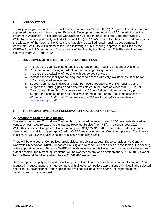### **I. INTRODUCTION**

Thank you for your interest in the Low Income Housing Tax Credit (LIHTC) Program. The Governor has appointed the Wisconsin Housing and Economic Development Authority (WHEDA) to administer this program in Wisconsin. In accordance with Section 42 of the Internal Revenue Code (the "Code"), WHEDA has developed this Qualified Allocation Plan (the "Plan") to establish the criteria and process for the allocation of the housing Tax Credit (the "Credit") to qualified rental housing developments in Wisconsin. WHEDA will implement this Plan following a public hearing, approval of the Plan by the WHEDA Board of Directors, and final approval of the Plan by the Governor. This Plan shall govern calendar years 2011 and 2012.

### **OBJECTIVES OF THE QUALIFIED ALLOCATION PLAN**

- 1. Increase the quantity of safe, quality, affordable rental housing throughout Wisconsin
- 2. Preservation of existing affordable rental housing throughout Wisconsin
- 3. Increase the availability of housing with supportive services
- 4. Increase the availability of housing that serves those with very low incomes (at or below 50% county median incomes)
- 5. Support community-initiated and neighborhood-supported affordable housing plans
- 6. Support the housing goals and objectives stated in the State of Wisconsin 2005-2009 Consolidated Plan: http://commerce.wi.gov/CDdocs/cd-consolidated-summary.pdf
- 7. Support the housing goals and objectives stated in the Plan to End Homelessness in Wisconsin, July 2007: [http://commerce.wi.gov/CD/docs/Housing-Reference/cd-boh](http://commerce.wi.gov/CD/docs/Housing-Reference/cd-boh-homelessnessplan.pdf)[homelessnessplan.pdf](http://commerce.wi.gov/CD/docs/Housing-Reference/cd-boh-homelessnessplan.pdf)

### **II. THE COMPETITIVE CREDIT RESERVATION & ALLOCATION PROCESS**

### **A. Amount of Credit to be Allocated**

The amount of annual Competitive Credit authority is based on an estimated \$2.10 per-capita derived from population estimates released by the Internal Revenue Service (the "IRS"). In calendar year 2010, WHEDA's per-capita Competitive Credit authority was **\$11,875,025**. 2011 per-capita Credit is yet to be determined. In addition to per-capita Credit, WHEDA may have returned Credit from previous Credit years to allocate. WHEDA may also elect not to allocate remaining Credit.

There will be one pool of Competitive Credit divided into six set-asides. These set-asides are General, Nonprofit, Preservation, Rural, Supportive Housing and Reserve. All set-asides are available at the opening of the application period. Because WHEDA intends to leverage this limited public resource to the furthest extent possible, the maximum Credit that will be awarded to any one development is **\$1,050,000, except for the General Set Aside which has a \$1,500,000 maximum.**

 All developments applying for additional Competitive Credit (in excess of the development's original Credit request) in a subsequent year must compete with all other competitive applications submitted in the selected set-aside. Such additional Credit applications shall not include a Developer's Fee higher than the development's original request.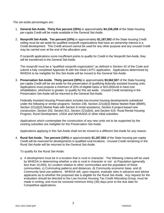The set-aside percentages are:

- 1. **General Set-Aside. Thirty five percent (35%)** or approximately **\$4,156,258** of the State housing per-capita Credit will be made available in the General Set-Aside.
- 2. **Nonprofit Set-Aside. Ten percent (10%)** or approximately **\$1,187,502** of the State housing Credit ceiling must be set aside for qualified nonprofit organizations that have an ownership interest in a Credit development. This Credit amount cannot be used for any other purpose and any unused Credit may be carried over at the end of the allocation year.

If nonprofit applications score insufficient points to qualify for Credit in the Nonprofit Set-Aside, they will be transferred to the General Set-Aside.

The nonprofit must be a "qualified nonprofit organization" as defined in Section 42 of the Code and submit a fully completed Appendix B with the initial LIHTC application. Applications determined by WHEDA to be ineligible for this Set-Aside will be moved to the General Set-Aside.

3. **Preservation Set-Aside. Thirty percent (30%)** or approximately **\$3,562,507** of the State housing per-capita Credit will be set aside for the preservation of qualifying federally assisted housing units. Applications must propose a minimum of 20% of eligible basis or \$15,000/unit in hard cost rehabilitation, whichever is greater, to qualify for this set aside. Unused Credit remaining in the Preservation Set-Aside will be returned to the General Set-Aside.

Federally Assisted Housing Preservation includes low-income housing developments subsidized under the following or similar programs: Section 236, Section 221(d)(3) Below Market Rate (BMIR), Section 221(d)(3) Market Rate with Section 8 rental assistance, Section 8 project-based new construction, Section 202, Section 811, Section 221(d)(4), and Section 515- Rural Rental Housing Program, Rural Development, USDA and NAHASDA or other tribal subsidies.

Applications which contemplate the construction of any new units not to be supported by the existing subsidies are ineligible for the Preservation Set-Aside.

Applications applying in this Set-Aside shall not be moved to a different Set-Aside for any reason.

4. **Rural Set-Aside. Ten percent (10%)** or approximately **\$1,187,502** of the State housing per-capita Credit will be reserved for developments in qualified rural locations. Unused Credit remaining in the Rural Set-Aside will be returned to the General Set-Aside.

To qualify for the Rural Set-Aside:

a. A development must be in a location that is rural in character. The following criteria will be used by WHEDA in determining whether a site is rural in character or not: a) Population (generally less than 10,000), b) Location relative to other communities and the population of those communities, c) Commuting patterns and distances, d) Community economic base, and d) Community land use patterns. WHEDA will, upon request, evaluate sites in advance and advise applicants as to whether the proposed site is eligible for the Rural Set-Aside. Any request for the evaluation should be directed to the Low Income Housing Tax Credit Allocating Group, must be made in writing, and must be received minimum thirty (30) days prior to the due date for Competitive applications.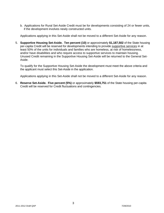b. Applications for Rural Set-Aside Credit must be for developments consisting of 24 or fewer units, if the development involves newly constructed units.

Applications applying in this Set-Aside shall not be moved to a different Set-Aside for any reason.

5. **Supportive Housing Set-Aside. Ten percent (10)** or approximately **\$1,187,502** of the State housing per-capita Credit will be reserved for developments intending to provide supportive services in at least 50% of the units for individuals and families who are homeless, at risk of homelessness, and/or have disabilities and who require access to supportive services to maintain housing. Unused Credit remaining in the Supportive Housing Set-Aside will be returned to the General Set-Aside.

To qualify for the Supportive Housing Set-Aside the development must meet the above criteria and the applicant must select this Set-Aside in the application.

Applications applying in this Set-Aside shall not be moved to a different Set-Aside for any reason.

6. **Reserve Set-Aside. Five percent (5%)** or approximately **\$593,751** of the State housing per-capita Credit will be reserved for Credit fluctuations and contingencies.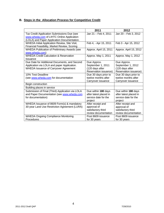### **B. Steps in the Allocation Process for Competitive Credit**

|                                                     | 2011                   | 2012                   |
|-----------------------------------------------------|------------------------|------------------------|
| Tax Credit Application Submissions Due (see         | Jan 21 - Feb 4, 2011   | Jan 20 - Feb 3, 2012   |
| www.wheda.com of LIHTC Online Application           |                        |                        |
| (LOLA) and Paper Application Documentation.         |                        |                        |
| WHEDA Initial Application Review, Site Visit,       | Feb 4, - Apr 15, 2011  | Feb 3 - Apr 15, 2012   |
| Financial Feasibility, Market Review, Scoring       |                        |                        |
| <b>WHEDA Publication of Preliminary Awards (see</b> | Approx. April 15, 2011 | Approx. April 15, 2012 |
| www.wheda.com)                                      |                        |                        |
| <b>WHEDA Credit Calculation &amp; Reservation</b>   | Approx. May 1, 2011    | Approx. May 1, 2012    |
| Issuance                                            |                        |                        |
| Due Date for Additional Documents, and Second       | Due Approx.            | Due Approx.            |
| Application via LOLA and paper Application.         | September 1, 2011      | September 1, 2012      |
| <b>WHEDA Issuance of Carryover Agreement</b>        | (120 days after        | (120 days after        |
|                                                     | Reservation issuance)  | Reservation issuance)  |
| 10% Test Deadline                                   | Due 30 days prior to   | Due 30 days prior to   |
| (see www.wheda.com for documentation                | twelve months after    | twelve months after    |
|                                                     | Carryover issuance     | Carryover issuance     |
| Begin construction                                  |                        |                        |
| Building places in service                          |                        |                        |
| Submission of Final (Third) Application via LOLA    | Due within 180 days    | Due within 180 days    |
| and Paper Documentation (see www.wheda.com          | after latest placed in | after latest placed in |
| for documentation)                                  | service date for the   | service date for the   |
|                                                     | project                | project                |
| WHEDA Issuance of 8609 Form(s) & mandatory          | After receipt and      | After receipt and      |
| 30-year Land Use Restriction Agreement (LURA)       | approval of            | approval of            |
|                                                     | satisfactory third     | satisfactory third     |
|                                                     | review documentation   | review documentation   |
| <b>WHEDA Ongoing Compliance Monitoring</b>          | Post 8609 issuance     | Post 8609 issuance     |
| Procedures                                          | for 30 years           | for 30 years           |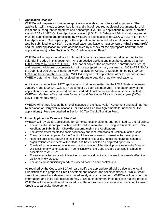### **1. Application Deadline**

WHEDA will prepare and make an application available to all interested applicants. The application will include a prescribed form and a list of required additional documentation. All initial and subsequent competitive and noncompetitive LIHTC applications must be submitted via WHEDA's LIHTC On Line Application system (LOLA). A Delegated Administrator Agreement must be submitted to and processed by WHEDA to obtain access to LOLA WHEDA's LIHTC On Line Application. One paper copy of the application and required additional documentation must also be submitted to WHEDA. Completed paper applications must contain **original signature(s)** and the initial application must be accompanied by a check for the appropriate nonrefundable application fee(s). (See Section IX, Tax Credit Allocation Fees.)

WHEDA will accept competitive LIHTC applications for a two-week period according to the calendar included in this document. All competitive applications must be submitted via the LOLA System by 5:00 p.m. C.S.T. The paper copy of the application, nonrefundable fee(s) and required additional documentation will be accepted by mail, postmarked NO LATER THAN the submittal Due Date, or hand-delivery, received in WHEDA's Madison office by 5:00 p.m. C.S.T. no later than the Due Date. WHEDA may accept applications after this period should WHEDA determine it has not received an adequate quantity of quality applications.

All initial noncompetitive LIHTC applications must be submitted via the LOLA System between January 4 and 5:00 p.m. C.S.T. on December 29 each calendar year. The paper copy of the application, nonrefundable fee(s) and required additional documentation must be submitted to WHEDA's Madison office between January 4 and December 29 each calendar year (5:00 p.m. C.S.T. if hand-delivered).

WHEDA will charge fees at the time of issuance of the Reservation Agreement and again at Post-Reservation or Carryover Allocation (Tier One and Tier Two Agreements for noncompetitive applications.) Fees are detailed in Section IX, Tax Credit Allocation Fees.

### **2. Initial Application Review & Site Visit**

WHEDA will review all applications for completeness, including, but not limited to, the following:

- The application is complete with all additional documentation, including all threshold items. **See Application Submission Checklist accompanying the Application;**
- The development meets the basic occupancy and rent restrictions of Section 42 of the Code;
- The organization applying for the Credit will have an ownership interest in the development;
- Nonprofit applicants applying in the in the nonprofit set-aside, meets the "qualified nonprofit organization" requirements of the Code, and has submitted a completed Appendix B;
- The developments owned or operated by any member of the development team in the State of Wisconsin or any other state are in compliance with the Code and are operating in a manner acceptable to WHEDA;
- Environmental issues or administrative proceedings do not exist that would adversely affect the ability to timely proceed;
- The applicant is sufficiently ready to proceed based on site control; and

As required by the Code, WHEDA will also notify the appropriate official's office in the local jurisdiction of the proposed Credit development location and solicit comments. While Credit cannot be denied to a development based solely on such comment, WHEDA will consider this information, and in its sole discretion may utilize such comment in its decision making process. WHEDA will evaluate all input received from the appropriate official(s) when deciding to award Credit to a particular development.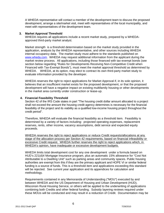A WHEDA representative will contact a member of the development team to discuss the proposed development, arrange a site/market visit, meet with representatives of the local municipality, and meet with representatives of the development team.

### **3. Market Approval Threshold**

WHEDA requires all applications include a recent market study, prepared by a WHEDAapproved third-party market analyst.

Market strength is a threshold determination based on the market study provided in the application, analysis by the WHEDA representative, and other sources including WHEDA internal occupancy data. The market study must adhere to the standards published on [www.wheda.com](http://www.wheda.com/). WHEDA may request additional information from the applicant during the market review process. All applications, including those financed with tax-exempt bonds (see section below regarding "Rules for Developments Receiving Non-Competitive Credit when Financed with Tax-Exempt Bonds"), must meet the market approval threshold as determined by WHEDA. WHEDA, at its option, may elect to contract its own third-party market study to evaluate information provided by the developer.

WHEDA reserves the right to reject applications for Market Approval if, in its sole opinion, it believes that an insufficient market exists for the proposed development, or that the proposed development will have a negative impact on existing multifamily housing or other developments in the market area currently under construction or lease-up.

### **4. Financial Feasibility Threshold**

Section 42 of the IRS Code states in part "The housing credit dollar amount allocated to a project shall not exceed the amount the housing credit agency determines is necessary for the financial feasibility of the project and its viability as a qualified low-income housing project throughout the credit period".

Therefore, WHEDA will evaluate the financial feasibility as a threshold item. Feasibility is determined by a variety of factors including: projected operating expenses, replacement reserves, rents, other income, vacancy assumptions, debt service and expected equity proceeds.

WHEDA reserves the right to reject applications or reduce Credit requests/allocations at any stage of the allocation process per Section 42 requirements, based on financial infeasibility or excessive Credit request. WHEDA further reserves the right to reject applications which, in WHEDA's opinion, have inadequate or excessive development budgets.

WHEDA limits total development cost for any one development under a formula based on HUD's 221(d)4 Mortgage Insurance program, plus an automatic 15% allowance for "Cost Not Attributable to a Dwelling Unit" such as parking areas and community spaces. Public housing authorities are exempt from this if they are the primary applicant and HOPE VI or similar federal funding is a source of funds. This is a threshold item and applications exceeding this standard will be rejected. See current year application and its appendices for calculation and methodology.

Requirements contained in any Memoranda of Understanding ("MOU") executed by and between WHEDA and the US Department of Housing and Urban Development (HUD), Wisconsin Rural Housing Service, or others will be applied to the underwriting of applications combining both Credits and other federal funding. Subsidy layering reviews required under these MOUs will be conducted and may result in a reduction of Credit. Documentation may be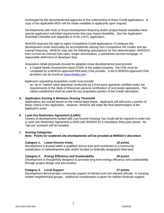WHEDA reserves the right to reject Competitive Credit applications if it believes the

Submittal Checklist and Appendix N of the LIHTC application.

copy of the applicable MOU will be made available to applicants upon request.

development could reasonably be accomplished utilizing Non-Competitive 4% credits and taxexempt financing. WHEDA may use the following assumptions for this determination: WHEDA's then-current tax exempt loan rates, longer amortization, a subsidized second mortgage, or reasonable deferment of developer fees.

exchanged by the aforementioned agencies in the underwriting of these Credit applications. A

Developments with HUD or Rural Development financing and/or project-based subsidies have special application submittal requirements that may impact feasibility. See the Application

Acquisition-rehab proposals (except for adaptive reuse developments) must provide:

• a Capital Needs Assessment report (CNA) of the subject property. The CNA must be completed by a WHEDA approved third-party CNA provider. A list of WHEDA-approved CNA providers can be found on [www.wheda.com](http://www.wheda.com/).

Applicants requesting Acquisition credit must provide:

an "as-is" market value appraisal conducted by a third party appraiser certified under the requirements of the State of Wisconsin general certification of real estate appraisers. The values established shall be used for any acquisition portion of the Credit calculation.

### **5. Application Scoring & Minimum Scoring Threshold**

Applications are scored based on the criteria listed below. Applicants will self-score a portion of these criteria in the Application. However, WHEDA will make the final determination of the applicant's score.

### **6. Land Use Restriction Agreement (LURA)**

Owners of developments funded with Low Income Housing Tax Credit will be required to enter into a Land Use Restriction Agreement (LURA) with WHEDA for a mandatory thirty-year period. No "opt-out" provision will be included.

### **7. Scoring Categories:**

 **Note: Points for scattered site developments will be prorated at WHEDA's discretion**

### **Category 1. Lower-Income Areas 10 points 10 points 10 points**

 Development is located within a qualified census tract and contributes to a community revitalization or redevelopment plan and/or located on federally designated tribal land.

### **Category 2. Energy Efficiency and Sustainability 30 points**

Development is thoughtfully designed to promote long term energy efficiency and sustainability through project design and site location.

### **Category 3. Local Support 27 points 127 points**

 Development demonstrates community support of elected and non-elected officials or housing related neighborhood groups. Additional consideration is given for indirect financial support.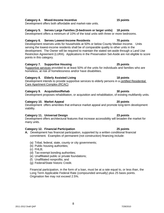### **Category 4. Mixed-Income Incentive 15 points**

Development offers both affordable and market-rate units.

### **Category 5. Serves Large Families (3-bedroom or larger units) 18 points**

Development offers a minimum of 10% of the total units with three or more bedrooms.

### **Category 6. Serves Lowest-Income Residents 70 points**

Development reserves units for households at 50% or below County Median Income. Units serving the lowest-income residents shall be of comparable quality to other units in the development. The Owner will be required to maintain the stated set-aside through a Land Use Restriction Agreement (LURA). Applications in the Preservation Set-Aside are not eligible to score points in this category.

### **Category 7. Supportive Housing 25 points**

Supportive services provided to at least 50% of the units for individuals and families who are homeless, at risk of homelessness and/or have disabilities.

### **Category 8. Elderly Assisted Living 18 points**

Development intends to provide supportive services to elderly persons in a certified Residential Care Apartment Complex (RCAC)

### **Category 9. Acquisition/Rehab 30 points**

Development proposes rehabilitation, or acquisition and rehabilitation, of existing multifamily units.

### **Category 10. Market Appeal 20 points**

Development offers amenities that enhance market appeal and promote long-term development viability.

### **Category 11. Universal Design 23 points**

Development offers architectural features that increase accessibility will broaden the market for many units.

### **Category 12. Financial Participation 25 points**

- **A.** Development has financial participation, supported by a written conditional financial commitment. Examples of permanent (not construction) financing include:
	- (a) Tribal, federal, state, county or city governments;
	- (b) Public housing authorities;
	- (c) FHLB;
	- (d) Tax-exempt bonding authorities;
	- (e) Unaffiliated public or private foundations;
	- (f) Unaffiliated nonprofits; and
	- (g) Federal/State historic Credit.

Financial participation, in the form of a loan, must be at a rate equal to, or less than, the Long Term Applicable Federal Rate (compounded annually) plus 25 basis points. Origination fee may not exceed 2.5%.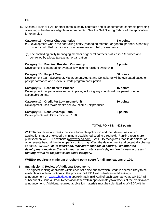**OR** 

**B.** Section 8 HAP or RAP or other rental subsidy contracts and all documented contracts providing operating subsidies are eligible to score points. See the Self Scoring Exhibit of the application for examples.

### **Category 13. Owner Characteristics 3-6 points**

- (a) Development where the controlling entity (managing member or general partner) is partially owned controlled by minority group members or tribal governments
- (b) The controlling entity (managing member or general partner) is at least 51% owned and controlled by a local tax-exempt organization.

### **Category 14. Eventual Resident Ownership 3 points**

Development is intended for eventual low-income resident ownership.

### **Category 15. Project Team 50 points**

Development team (Developer, Management Agent, and Consultant) will be evaluated based on past performance and previous Credit program participation.

### **Category 16. Readiness to Proceed 15 points**

Development has permissive zoning in place, including any conditional use permit or other acceptable zoning.

### **Category 17. Credit Per Low Income Unit 30 points**

Development uses fewer credits per low income unit produced.

### **Category 18. Debt Coverage Ratio 6 points 6 points 6 points**

Developments with DCRs minimum 1.20.

### **TOTAL POINTS: 421 points**

WHEDA calculates and ranks the score for each application and then determines which applications meet or exceed a minimum established scoring threshold. Ranking results are published on WHEDA's website (www.wheda.com). WHEDA recognizes that its decisions, or other events beyond the developer's control, may affect the development and potentially change its score. *WHEDA, at its discretion, may allow changes in scoring. Whether the development receives Credit in such a circumstance will depend on its new score and ranking within its respective set-aside category.* 

### **WHEDA requires a minimum threshold point score for all applications of 120**.

9

### **8. Submission & Review of Additional Documents**

The highest-ranking applicants within each set-aside and for which Credit is deemed likely to be available are able to continue in the process. WHEDA will publish awards/rankings announcement on [www.wheda.com](http://www.wheda.com/) approximately mid-April of each calendar year. WHEDA will subsequently issue a Credit Reservation letter within approximately two weeks of the credit award announcement. Additional required application materials must be submitted to WHEDA within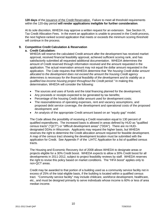**120 days** of the issuance of the Credit Reservation. Failure to meet all threshold requirements within the 120-day period **will render applications ineligible for further consideration**.

At its sole discretion, WHEDA may approve a written request for an extension. See Section IX, Tax Credit Allocation Fees. In the event an application is unable to proceed in the Credit process, the next highest-ranked scored application that meets or exceeds the minimum scoring threshold will continue in the process.

### **9. Competitive Credit Calculation & Reservation**

### **a. Credit Calculation:**

WHEDA will reserve the calculated Credit amount after the development has received market approval, received financial feasibility approval, achieved sufficient scoring rank, and has satisfactorily submitted all requested additional documentation. WHEDA determines the amount of Credit reserved through information received and the amount requested in the application. The actual reservation amount may not equal the dollar amount requested in the application. The Code requires that WHEDA determine that *"the housing Credit dollar amount allocated to the development does not exceed the amount the housing Credit agency determines is necessary for the financial feasibility of the development and its viability as a qualified low-income housing project throughout the Credit period."* In making this determination, WHEDA will consider the following:

- The sources and uses of funds and the total financing planned for the development;
- Any proceeds or receipts expected to be generated by tax benefits;
- Percentage of the housing Credit dollar amount used for development costs;
- The reasonableness of operating expenses, rent and vacancy assumptions, and proposed debt service coverage, the development and operational costs of the proposed development; and
- An analysis of the appropriate Credit amount based on an "equity gap" model.

The Code allows the possibility of receiving a Credit reservation equal to 130 percent of qualified expenditures. The increased basis is allowed in areas defined by HUD as "qualified census tracts" ("QCT") or "difficult development areas" ("DDA"). There are no HUDdesignated DDAs in Wisconsin. Applicants may request the higher basis, but WHEDA reserves the right to determine the Credit allocation amount required for feasible development. A map of the census tract showing the development location must be submitted with the application for Credit. See Appendix F of the LIHTC Application for a list of qualified census tracts.

The Housing and Economic Recovery Act of 2008 allows WHEDA to designate areas or projects eligible for a 30% Credit boost. WHEDA expects to allow a 30% Credit boost for all developments in 2011-2012, subject to project feasibility reviews by staff. WHEDA reserves the right to revise this policy based on market conditions. The "HFA boost" applies only to non-QCT areas.

Credit may be awarded to that portion of a building used as a community service facility not in excess of 25% of the total eligible basis, if the building is located within a qualified census tract. "Community service facility" may include childcare, workforce development, healthcare, etc., and must be designed primarily to serve individuals whose income is 60% or less of area median income.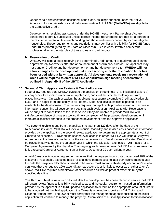Under certain circumstances described in the Code, buildings financed under the Native American Housing Assistance and Self-determination Act of 1996 (NAHASDA) are eligible for the Competitive Credit.

Developments receiving assistance under the HOME Investment Partnerships Act are considered federally subsidized unless certain income requirements are met for a portion of the residential rental units in each building and those units are occupied by income-eligible households. These requirements and restrictions may conflict with eligibility for HOME funds under rules promulgated by the State of Wisconsin. Please consult with a competent professional as to the interplay of these rules and their impact.

### **b. Reservation of Credit**

WHEDA will issue a letter reserving the determined Credit amount to qualifying applicants approximately two weeks after the announcement of preliminary awards. An applicant may not transfer Credit to another development or another development site. **WHEDA will not allow changes to the development that affect scoring after the reservation letter has been issued without its written approval. All developments receiving a reservation of Credit will be required to erect a WHEDA construction sign meeting specifications outlined in Appendix S of the LIHTC Application.**

### **10. Second & Third Application Reviews & Credit Allocation**

Federal law requires that WHEDA evaluate the application three times: a) at initial application; b) at carryover allocation/post-reservation application; and c) at the time the building(s) is (are) placed in service. On each occasion, the applicant must submit a complete Credit application via LOLA and in paper form and certify to all Federal, State, and local subsidies expected to be available to the development. The process requires that applicants provide detailed and accurate information concerning all development costs at each evaluation. Applicants with Reservations will be subject to cancellation of the Reservation if they are unable to provide WHEDA with satisfactory evidence of progress toward timely completion of the proposed development, or if there are significant changes to the proposed development from the approved application.

**The second review** is due from the applicant no later than **120** days after the date of the Reservation issuance. WHEDA will review financial feasibility and revised costs based on information provided by the applicant in the second review application to determine the appropriate amount of Credit to be allocated. Provided the second evaluation is in order, WHEDA will issue a Carryover Agreement at the time of completion of the second evaluation. Developments allocated Credit must be placed in service during the calendar year in which the allocation took place - **OR** – apply for a Carryover Agreement by the day after Thanksgiving each calendar year. WHEDA must **receive** the fully executed Carryover Agreement on or before, December 29 each calendar year.

A valid Carryover Allocation Agreement requires that the taxpayer incur costs that exceed 10% of the taxpayer's "reasonably expected basis" or total development cost no later than twelve months after the date the carryover allocation is issued. The owner must submit a third-party accountant's review certifying that the required 10% expenditure has occurred, or is likely to occur as of either a) or b), above. WHEDA requires a breakdown of expenditures as well as proof of expenditure by the specified deadline.

**The third and final review** is conducted after the development has been placed in service. WHEDA will again review financial feasibility, revised costs and the equity requirement based on information provided by the applicant in a third updated application to determine the appropriate amount of Credit to be allocated. At the third application, the Owner is required to submit an ACH (Automated Clearing House) form. The Owner must certify that the management agent identified on the initial application will continue to manage the property. Submission of a Final Application for final allocation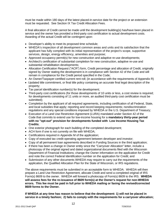must be made within 180 days of the latest placed-in-service date for the project or an extension must be requested. See Section IX Tax Credit Allocation Fees.

A final allocation of Credit cannot be made until the development building(s) has/have been placed in service and the owner has provided a third-party cost certification to actual development costs. Awarding of the actual Credit will be contingent upon:

- Developer's ability to meet its proposed time schedule;
- WHEDA's inspection of all development common areas and units and its satisfaction that the applicant has fully complied with its initial representation of the project's scope, supportive services, design, energy efficiency, amenities and purpose;
- Approved occupancy permit(s) for new construction and adaptive re-use developments;
- Architect's certification of substantial completion for new construction, adaptive re-use and substantial rehabilitation developments;
- Allocation Certification Request ("ACR") form, Credit percentage and allocation of Credit, originally signed by Owner stating the development is in compliance with Section 42 of the Code and will remain in compliance for the Credit period specified in the Code;
- An Owner/Taxpayer-certified current rent roll; (in accordance with the requirements of Appendix R)
- Updated title commitment, or final title policy containing an accurate final legal description of the property;
- Tax parcel identification number(s) for the development;
- Third-party cost certifications (for those developments of 10 units or less, a cost review is required; for developments consisting of 11 units or more, an audited third-party cost certification must be submitted);
- Completion by the applicant of all required agreements, including certification of all Federal, State, and local subsidies that apply; reporting and record keeping requirements; nondiscrimination regulations and any special conditions imposed by WHEDA or the U.S. Department of Treasury;
- Execution of a Land Use Restriction Agreement (LURA) mandated under Section 42 of the Code that commits to extend use for low-income housing for a **mandatory thirty-year period with no "opt-out" provision for developments funded with Low Income Housing Tax Credits**;
- One exterior photograph for each building of the completed development;
- ACH form if one is not currently on file with WHEDA;
- Certifications required in Appendix M of the application;
- Copy of executed tax credit operating agreement between developer and investor;
- Copy of all permanent loan agreements described in Funding Sources in the third application;
- If there has been a change in Owner entity since the "Carryover Allocation" letter, include a photocopy of the original signed and dated organizational documents filed with the Wisconsin Department of Financial Institutions; change the Owner information on the application for Credit and note the correct Federal Identification number on the application for Credit; and
- Submission of any other documents WHEDA may require to carry out the requirements of the application, the Qualified Allocation Plan for the State of Wisconsin, or IRS regulations.

The above requirements must be submitted in an acceptable form to WHEDA. WHEDA will then prepare a Land Use Restriction Agreement, allocate Credit and send a completed original of IRS Form(s) 8609 to the owner. WHEDA will forward a photocopy of Form(s) 8609 to the IRS. **WHEDA will assess fees for the re-issuance of 8609 form(s) at the Owner's request for non-WHEDA errors. This fee must be paid in full prior to WHEDA mailing or faxing the revised/corrected 8609 forms to the Owner.**

**If WHEDA at any time has reason to believe that the development: 1) will not be placed in service in a timely fashion; 2) fails to comply with the requirements for a carryover allocation;**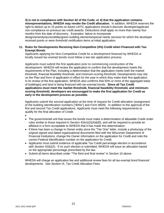**3) is not in compliance with Section 42 of the Code; or 4) that the application contains misrepresentations, WHEDA may revoke the Credit allocation.** In addition, WHEDA reserves the right to deduct up to 15 points on future LIHTC applications should it discover developer/applicant non-compliance on previous tax credit awards. Deductions shall apply no more than twenty four months from the date of discovery. Examples: failure to incorporate

design/amenity/accessibility/green building elements/special needs services for which the developer received points or were threshold certification items at initial application.

### **11. Rules for Developments Receiving Non-Competitive (4%) Credit when Financed with Tax-Exempt Bonds**

Applicants applying for Non-Competitive Credit for a development financed by WHEDA or locally issued tax-exempt bonds must follow a two-tier application process.

Applicants must submit the first application prior to commencing construction of the development. WHEDA will review the application to confirm that the development meets the requirements of the Plan, including a determination that the application meets both the market threshold, financial feasibility threshold, and minimum-scoring threshold. Developments may rely on the Plan and form of application in effect for the year in which they make their first application. In its review of the first application, WHEDA also confirms that 50% or more of the aggregate basis of building(s) and land is being financed with tax-exempt bonds. **Since all Tax Credit applications must meet the market threshold, financial feasibility threshold, and minimumscoring threshold, developers are encouraged to make the first application for Credit as early in the development process as possible.** 

Applicants submit the second application at the time of request for Credit allocation (assignment of the building identification numbers ["BINs"] and Form 8609). In addition to the approval of the first and second Tax Credit applications, Applicants must meet the following requirements to qualify for the final allocation of Credit:

- •
- The governmental unit that issues the bonds must make a determination of allowable Credit under rules similar to those required in Section 42(m)(2)(A)&(B), and will be required to provide an affidavit in a form acceptable to WHEDA that it has made this determination.
- If there has been a change in Owner entity since the "Tier One" letter, include a photocopy of the original signed and dated organizational documents filed with the Wisconsin Department of Financial Institutions; change the Owner information on the application for Credit and note the correct Federal Identification number on the application for Credit.
- Applicants must submit evidence of applicable Tax Credit percentage election in accordance with Section 42(b)(2). If no such election is submitted, WHEDA will issue an allocation based on the appropriate percentage prescribed by the law.
- Submit all items described under "The third and final review" in Section 10 above.

WHEDA will charge an application fee and additional review fees for all tax-exempt bond financed developments. See Section IX, Tax Credit Allocation Fees.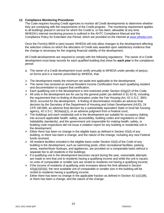### **12. Compliance Monitoring Procedures**

The Code requires housing Credit agencies to monitor all Credit developments to determine whether they are complying with the requirements of the Credit program. The monitoring requirement applies to all buildings placed in service for which the Credit is, or has been, allowable at any time. WHEDA's internal monitoring process is outlined in the AHTC Compliance Manual and the Compliance Policy for Extended Use Period, which are provided on the Internet at [www.wheda.com](http://www.wheda.com/).

Once the Form(s) 8609 is (are) issued, WHEDA will only allow changes to the development affecting the selection criteria on which the allocation of Credit was awarded upon satisfactory evidence that the change is necessary for the ongoing financial viability of the development.

All Credit developments are required to comply with the following regulations: The owner of a Credit development must keep records for each qualified building that show for *each year* in the compliance period:

- a. The owner of a Credit development must certify annually to WHEDA under penalty of perjury, on forms and in a manner prescribed by WHEDA, that:
- $\triangleright$  The development meets the minimum set-aside test applicable to the development;
- ¾ The owner has received an annual Resident Income Certification from each qualifying resident and documentation to support that certification;
- $\triangleright$  Each qualifying unit in the development is rent restricted under Section 42(g)(2) of the Code;
- $\triangleright$  All units in the development are for use by the general public (as defined in §1.42-9), including the requirement that no finding of discrimination under the Fair Housing Act, 42 U.S.C. 3601- 3619, occurred for the development. A finding of discrimination includes an adverse final decision by the Secretary of the Department of Housing and Urban Development (HUD), 24 CFR 180.680, an adverse final decision by a substantially equivalent State or local fair housing agency, 42 U.S.C. 3616a(a)(1), or an adverse judgment from a Federal court;
- $\triangleright$  The buildings and each residential unit in the development are suitable for occupancy (taking into account applicable health, safety, accessibility, building codes and regulations or other habitability standards), and the government unit responsible for making health, safety, or building code inspections did not issue a violation report for any building or residential unit in the development;
- $\triangleright$  Either there has been no change in the eligible basis as defined in Section 42(d) of any building, or there has been a change, and the nature of the change, including any new Federal funds received;
- $\triangleright$  All resident facilities included in the eligible basis under Section 42(d) of the Code of any building in the development, such as swimming pools, other recreational facilities, parking areas, washer/dryer hookups, and appliances, are provided on a comparable basis without a separate fee to all residents in the buildings;
- $\triangleright$  If a qualifying unit in the development becomes vacant during the year, reasonable attempts are made to rent that unit to residents having a qualifying income and while the unit is vacant, no units of comparable or smaller size are rented to residents not having a qualifying income;
- $\triangleright$  If the income of residents of qualifying units increases above the limit allowed in Section  $42<sub>(g)</sub>(2)<sub>(h)</sub>(ii)$ , the next available unit of comparable or smaller size in the building will be rented to residents having a qualifying income;
- $\triangleright$  Either there has been no change in the applicable fraction as defined in Section 42 (c)(1)(B), or there has been a change, and the nature of the change;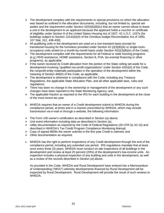- $\triangleright$  The development complies with the requirements or special provisions on which the allocation was based as outlined in the allocation documents, including, but not limited to, special setasides and the requirement under Section 42(h)(6)(B)(iv) that an owner cannot refuse to lease a unit in the development to an applicant because the applicant holds a voucher or certificate of eligibility under Section 8 of the United States Housing Act of 1927, 42 U.S.C. 1437s (for buildings subject to Section 13142(b)(4) of the Omnibus budget Reconciliation Act of 1993, 107 Stat. 312, 438-439);
- $\triangleright$  All qualifying units in the development are used on a non-transient basis (except for transitional housing for the homeless provided under Section 42 (i)(3)(B)(iii) or single-roomoccupancy units rented on a month-by-month basis under Section 42(i)(3)(B)(iv) of the Code);
- $\triangleright$  The development complies with the requirements for all Federal or state housing programs (e.g.) RHS assistance, HOME assistance, Section 8, FHA, tax-exempt financing or other programs), as applicable;
- $\triangleright$  If the owner received its Credit allocation from the portion of the State ceiling set-aside for a development involving "qualified non-profit organizations" under Section 42(h)(5) of the Code, the nonprofit entity materially participates in the operation of the development within the meaning of Section 469(h) of the Code, as applicable;
- $\triangleright$  The development is otherwise in compliance with the Code, including any Treasury Regulations, the applicable State Allocation Plan, and all other applicable laws, rules and regulations;
- $\triangleright$  There has been no change in the ownership or management of the development or any such changes have been reported to the State Monitoring Agency; and,
- $\triangleright$  The applicable fraction as reported to the IRS for each building in the development at the close of the most recent tax year.
- b. WHEDA requires that an owner of a Credit development submit to WHEDA during the compliance period, at times and in a manner prescribed by WHEDA, which may include transmission via e-mail or through a website, the following information:
- $\triangleright$  The Form 100 owner's certification as described in Section (a) above;
- $\triangleright$  Unit event information including data as described in Section (a);
- ¾ Utility documentation as required by the Code of Federal Regulations (26 CFR §1.42-10) and described in WHEDA's Tax Credit Program Compliance Monitoring Manual;
- $\triangleright$  Copy of signed 8609s the owner submits in the first year Credit is claimed; and
- $\triangleright$  Other documentation as required.
- c. WHEDA has the right to perform inspections of any Credit development through the end of the compliance period, including any extended use period. IRS regulations mandate that at least once every three (3) years, WHEDA must conduct on-site inspections of all buildings in the development and review at least 20 percent (20%) of the development's low-income units. An inspection includes a physical inspection of any building and units in the development, as well as a review of the records described in Section (a) above.

As provided in the Code, WHEDA and Rural Development have entered into a Memorandum of Understanding ("MOU") whereby developments financed by Rural Development will be inspected by Rural Development. Rural Development will provide the result of such reviews to WHEDA.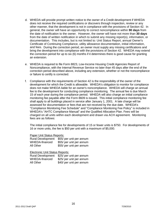- d. WHEDA will provide prompt written notice to the owner of a Credit development if WHEDA does not receive the required certifications or discovers through inspection, review or any other manner, that the development is not in compliance with the provisions of Section 42. In general, the owner will have an opportunity to correct noncompliance within **90 days** from the date of notification to the owner. However, the owner will have not more than **30 days** from the date of written notification in which to submit any missing report(s), information, or documentation. This includes, but is not limited to: Unit Status Report, annual Owner's Certificate of Continuing Compliance, utility allowance documentation, initial information, and fees. During the correction period, an owner must supply any missing certifications and bring the development into compliance with the provisions of Section 42. WHEDA may extend the correction period for up to six (6) months if it determines there is good cause for granting an extension.
- e. WHEDA is required to file Form 8823, Low-Income Housing Credit Agencies Report of Noncompliance, with the Internal Revenue Service no later than 45 days after the end of the correction period described above, including any extension, whether or not the noncompliance or failure to certify is corrected.
- f. Compliance with the requirements of Section 42 is the responsibility of the owner of the development for which the Credit is allowable. WHEDA's obligation to monitor for compliance does not make WHEDA liable for an owner's noncompliance. WHEDA will charge an annual fee to the development for conducting compliance monitoring. The annual fee is due March 15 of each year during the compliance period. WHEDA will also charge an initial compliance monitoring fee payable after the Form 8609 is issued. This initial compliance monitoring fee shall apply to all buildings placed in service after January 1, 2001. A late charge will be assessed for documentation or fees that are not received by the due date. WHEDA's "Compliance Monitoring Fee Schedule" and "Compliance Monitoring Fee Policy" is included in WHEDA's "AHTC Compliance Manual" and the Qualified Allocation Plan. Fees will be charged on all units within each development and drawn via ACH agreement. Monitoring fees are as follows:

The initial compliance fee for developments of 15 or fewer units is \$750. For developments of 16 or more units, the fee is \$50 per unit with a maximum of \$5,000.

### Paper Unit Status Reports:

| <b>Rural Development</b> | \$55/ per unit per annum |
|--------------------------|--------------------------|
| WHEDA-financed           | \$55/ per unit per annum |
| All Other                | \$55/ per unit per annum |

### Electronic Unit Status Reports:

| <b>Rural Development</b> | \$25/ per unit per annum |
|--------------------------|--------------------------|
| WHEDA-financed           | \$25/ per unit per annum |
| All Other                | \$40/ per unit per annum |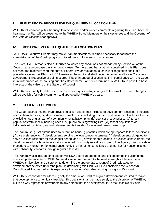### **III. PUBLIC REVIEW PROCESS FOR THE QUALIFIED ALLOCATION PLAN**

WHEDA will convene public hearings to receive oral and/or written comments regarding this Plan. After the hearings, the Plan will be presented to the WHEDA Board Members or their Assignees and the Governor of the State of Wisconsin for approval.

### **IV. MODIFICATIONS TO THE QUALIFIED ALLOCATION PLAN**

 WHEDA's Executive Director may make Plan modifications deemed necessary to facilitate the administration of the Credit program or to address unforeseen circumstances.

The Executive Director is also authorized to waive any conditions not mandated by Section 42 of the Code on a case-by-case basis for good cause. To the extent that anything contained in this Plan does not meet the minimum requirements of Federal law or regulation, such law or regulation shall take precedence over this Plan. WHEDA reserves the right and shall have the power to allocate Credit to a development irrespective of points scored, if such intended allocation is: 1) in compliance with the Code; 2) in furtherance of the housing priorities stated herein; and 3) determined by WHEDA to be in the best interests of the citizens of the State of Wisconsin.

WHEDA may modify this Plan as it deems necessary, including changes to fee structure. Such changes will be available for public comment and approved by WHEDA's board.

### **V. STATEMENT OF POLICY**

The Code requires that the Plan provide selection criteria that include: (i) development location, (ii) housing needs characteristics, (iii) development characteristics, including whether the development includes the use of existing housing as part of a community revitalization plan, (iv) sponsor characteristics, (v) tenant populations with special housing needs, (vi) public housing waiting lists, (vii) tenant populations of individuals with children, and (viii) developments intended for eventual tenant ownership.

The Plan must: (i) set criteria used to determine housing priorities which are appropriate to local conditions, (ii) give preference to: (I) developments serving the lowest-income tenants, (II) developments obligated to serve qualified residents for the longest period, and (III) developments located in qualified census tracts, the development of which contributes to a concerted community revitalization plan. The Agency must provide a procedure to monitor for noncompliance, notify the IRS of noncompliance and monitor for noncompliance with habitability standards through regular site visits.

The Plan may also include other criteria WHEDA deems appropriate, and except for the inclusion of the specified preference items, WHEDA has discretion with regard to the relative weight of these criteria. WHEDA is also given the discretion to determine the appropriate amount of Credit allocated to developments selected under the plan. In developing this Plan, WHEDA considered the Wisconsin Consolidated Plan as well as its experience in creating affordable housing throughout Wisconsin.

WHEDA is responsible for allocating only the amount of Credit to a given development required to make that development economically feasible. This decision shall be made solely at the discretion of WHEDA, but in no way represents or warrants to any person that the development is, in fact, feasible or viable.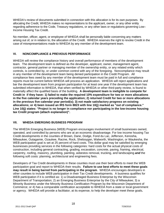WHEDA's review of documents submitted in connection with this allocation is for its own purposes. By allocating the Credit, WHEDA makes no representations to the applicant, owner, or any other entity regarding adherence to the Code, Treasury regulations, or any other laws or regulations governing Low– Income Housing Tax Credit.

No member, officer, agent, or employee of WHEDA shall be personally liable concerning any matters arising out of, or in relation to, the allocation of the Credit. WHEDA reserves the right to revoke Credit in the case of misrepresentations made to WHEDA by any member of the development team.

### **VI. NONCOMPLIANCE & PREVIOUS PERFORMANCE**

WHEDA will review the compliance history and overall performance of members of the development team. The development team is defined as the developer, applicant, owner, management agent, contractor, general partner or managing member of the ownership entity, or any related entity which controls, is controlled by, or under common control with any of the foregoing. Noncompliance may result in any member of the development team being denied participation in the Credit Program. All compliance fees owed by any member of the development team must be paid in full and compliance reports must be current before WHEDA will process an application. WHEDA will reject applications and bar the development team from program participation for at least one year if the development team has submitted information to WHEDA, that when verified by WHEDA or other third-party review, is found to materially affect the qualified basis of the building. **A development team is ineligible to compete for Credit in if they have: 1) failed to make the required 10% expenditure for two or more allocations in the five calendar years preceding the application; 2) returned Credit for two or more allocations in the previous five calendar year period(s); 3) not made satisfactory progress on existing allocations; or 4) been issued an IRS form 8823 with line 10(j) marked as "out of compliance." Line 10(j) states: "Project is no longer in compliance nor participating in the low-income housing tax Credit program (attach explanation)".** 

### **VII. WHEDA EMERGING BUSINESS PROGRAM**

The WHEDA Emerging Business (WEB) Program encourages involvement of small businesses owned, operated, and controlled by persons who are at an economic disadvantage. For low income housing Tax Credit developments in the counties of Brown, Dane, Dodge, Fond du Lac, Jefferson, Kenosha, Milwaukee, Outagamie, Ozaukee, Racine, Rock, Sheboygan, Walworth, Washington, or Waukesha, the WEB participation goal is set at 25 percent of hard costs. This dollar goal may be satisfied by emerging businesses providing services in the following categories: hard costs for the actual physical costs of construction, including general contracting, grading, excavation, concrete, paving, framing, electrical, carpentry, roofing, masonry, plumbing, painting, asbestos removal, trucking, and landscaping *and* the following soft costs: planning, architectural and engineering fees.

Developers of Tax Credit developments in these counties must use their best efforts to meet the WEB participation goal and report to WHEDA their results. **Failure to use best efforts to meet these goals may result in being barred from participating in the program**. WHEDA encourages developers in other counties to include WEB participation in their Tax Credit developments. A business qualifies for WEB participation if it is certified as: 1) a Disadvantaged Business Enterprise by the Wisconsin Department of Transportation; 2) an Emerging Business Enterprise by the City of Milwaukee; 3) a Minority Business under the Minority Business Certification Program by the Wisconsin Department of Commerce; or 4) has a comparable certification acceptable to WHEDA from a state or local government or agency. WHEDA will provide a facilitator, at its expense, to help the developer meet these goals**.**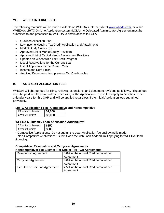### **VIII. WHEDA INTERNET SITE**

The following materials will be made available on WHEDA's Internet site at [www.wheda.com](http://www.wheda.com/), or within WHEDA's LIHTC On Line Application system (LOLA). A Delegated Administrator Agreement must be submitted to and processed by WHEDA to obtain access to LOLA.

- Qualified Allocation Plan
- Low Income Housing Tax Credit Application and Attachments
- Market Study Guidelines
- Approved List of Market Study Providers
- Approved List of Capital Needs Assessment Providers
- Updates on Wisconsin's Tax Credit Program
- List of Reservations for the Current Year
- List of Applicants for the Current Year
- Income and Rent Limits
- Archived Documents from previous Tax Credit cycles

### **IX. TAX CREDIT ALLOCATION FEES**

WHEDA will charge fees for filing, reviews, extensions, and document revisions as follows. These fees must be paid in full before further processing of the Application. These fees apply to activities in the calendar years for this QAP and will be applied regardless if the Initial Application was submitted previously.

### **LIHTC Application Fees - Competitive and Noncompetitive**

| 24 units or fewer: | \$1.000 |  |
|--------------------|---------|--|
| l Over 24 units:   | \$2.000 |  |

### **WHEDA Multifamily Loan Application Addendum\*\***

|  | 24 units or fewer: |
|--|--------------------|
|  | Over 24 units:     |

\*\*Competitive Applications: Do not submit the Loan Application fee until award is made.

 Non-Competitive Applications: Submit loan fee with Loan Addendum if applying for WHEDA Bond financing.

### **Competitive: Reservation and Carryover Agreements**

### **Noncompetitive: Tax-Exempt Tier One or Tier Two Agreements**  Reservation Agreement 5.0% of the annual Credit amount per

|                                | Agreement                            |
|--------------------------------|--------------------------------------|
| <b>Carryover Agreement</b>     | 5.0% of the annual Credit amount per |
|                                | Agreement                            |
| Tier One or Tier Two Agreement | 2.5% of the annual Credit amount per |
|                                | Agreement                            |